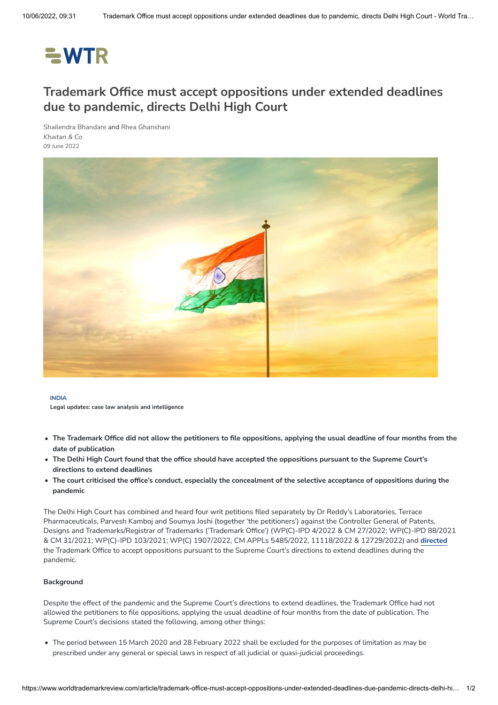# $=$  WTR

## **Trademark Office must accept oppositions under extended deadlines due to pandemic, directs Delhi High Court**

[Shailendra](https://www.worldtrademarkreview.com/authors/shailendra-bhandare-daily) Bhandare and Rhea [Ghanshani](https://www.worldtrademarkreview.com/authors/rhea-ghanshani) *[Khaitan](https://www.worldtrademarkreview.com/organisation/khaitan-co) & Co* 09 June 2022



#### **INDIA**

**Legal updates: case law analysis and intelligence**

- The Trademark Office did not allow the petitioners to file oppositions, applying the usual deadline of four months from the **date of publication**
- The Delhi High Court found that the office should have accepted the oppositions pursuant to the Supreme Court's **directions to extend deadlines**
- The court criticised the office's conduct, especially the concealment of the selective acceptance of oppositions during the **pandemic**

The Delhi High Court has combined and heard four writ petitions filed separately by Dr Reddy's Laboratories, Terrace Pharmaceuticals, Parvesh Kamboj and Soumya Joshi (together 'the petitioners') against the Controller General of Patents, Designs and Trademarks/Registrar of Trademarks ('Trademark Office') (WP(C)-IPD 4/2022 & CM 27/2022; WP(C)-IPD 88/2021 & CM 31/2021; WP(C)-IPD 103/2021; WP(C) 1907/2022, CM APPLs 5485/2022, 11118/2022 & 12729/2022) and **[directed](https://files.lbr.cloud/public/2022-06/Dr%20Reddy%20decision.pdf?VersionId=b0kwlL0cOOJbwzy8PejC18w98sGZB0.a)** the Trademark Office to accept oppositions pursuant to the Supreme Court's directions to extend deadlines during the pandemic.

#### **Background**

Despite the effect of the pandemic and the Supreme Court's directions to extend deadlines, the Trademark Office had not allowed the petitioners to file oppositions, applying the usual deadline of four months from the date of publication. The Supreme Court's decisions stated the following, among other things:

The period between 15 March 2020 and 28 February 2022 shall be excluded for the purposes of limitation as may be prescribed under any general or special laws in respect of all judicial or quasi-judicial proceedings.